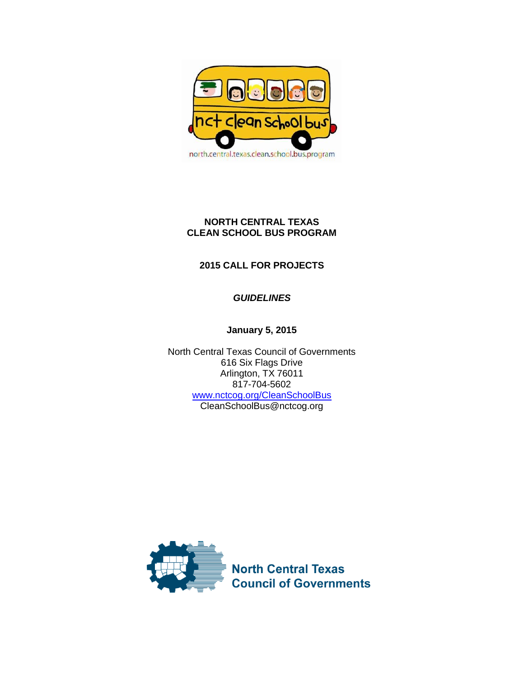

# **NORTH CENTRAL TEXAS CLEAN SCHOOL BUS PROGRAM**

# **2015 CALL FOR PROJECTS**

# *GUIDELINES*

# **January 5, 2015**

North Central Texas Council of Governments 616 Six Flags Drive Arlington, TX 76011 817-704-5602 [www.nctcog.org/CleanSchoolBus](http://www.nctcog.org/CleanSchoolBus) CleanSchoolBus@nctcog.org

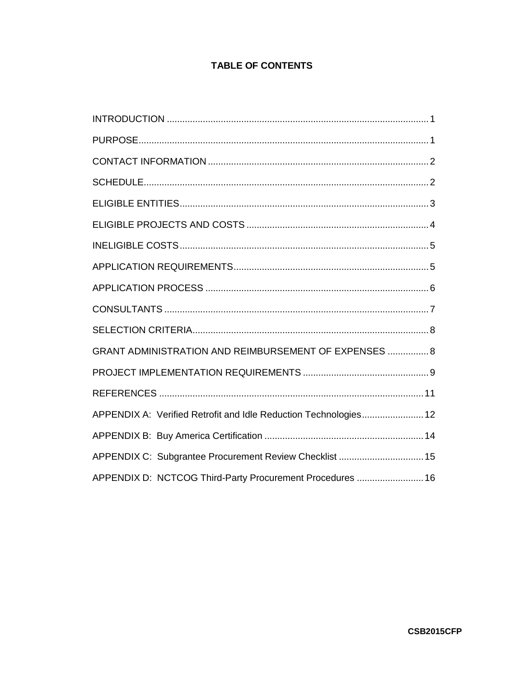# **TABLE OF CONTENTS**

| GRANT ADMINISTRATION AND REIMBURSEMENT OF EXPENSES  8            |  |
|------------------------------------------------------------------|--|
|                                                                  |  |
|                                                                  |  |
| APPENDIX A: Verified Retrofit and Idle Reduction Technologies 12 |  |
|                                                                  |  |
| APPENDIX C: Subgrantee Procurement Review Checklist  15          |  |
| APPENDIX D: NCTCOG Third-Party Procurement Procedures  16        |  |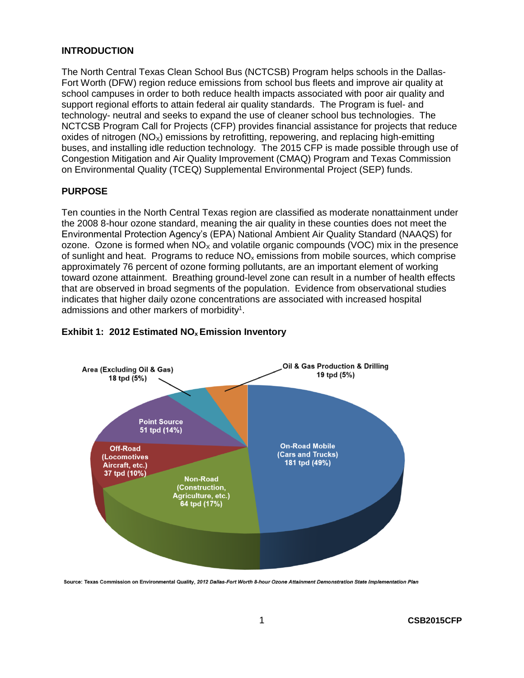#### <span id="page-2-0"></span>**INTRODUCTION**

The North Central Texas Clean School Bus (NCTCSB) Program helps schools in the Dallas-Fort Worth (DFW) region reduce emissions from school bus fleets and improve air quality at school campuses in order to both reduce health impacts associated with poor air quality and support regional efforts to attain federal air quality standards. The Program is fuel- and technology- neutral and seeks to expand the use of cleaner school bus technologies. The NCTCSB Program Call for Projects (CFP) provides financial assistance for projects that reduce oxides of nitrogen ( $NO<sub>x</sub>$ ) emissions by retrofitting, repowering, and replacing high-emitting buses, and installing idle reduction technology. The 2015 CFP is made possible through use of Congestion Mitigation and Air Quality Improvement (CMAQ) Program and Texas Commission on Environmental Quality (TCEQ) Supplemental Environmental Project (SEP) funds.

#### <span id="page-2-1"></span>**PURPOSE**

Ten counties in the North Central Texas region are classified as moderate nonattainment under the 2008 8-hour ozone standard, meaning the air quality in these counties does not meet the Environmental Protection Agency's (EPA) National Ambient Air Quality Standard (NAAQS) for ozone. Ozone is formed when  $NO<sub>x</sub>$  and volatile organic compounds (VOC) mix in the presence of sunlight and heat. Programs to reduce  $NO<sub>x</sub>$  emissions from mobile sources, which comprise approximately 76 percent of ozone forming pollutants, are an important element of working toward ozone attainment. Breathing ground-level zone can result in a number of health effects that are observed in broad segments of the population. Evidence from observational studies indicates that higher daily ozone concentrations are associated with increased hospital admissions and other markers of morbidity<sup>1</sup>.



#### **Exhibit 1: 2012 Estimated NOx Emission Inventory**

Source: Texas Commission on Environmental Quality, 2012 Dallas-Fort Worth 8-hour Ozone Attainment Demonstration State Implementation Plan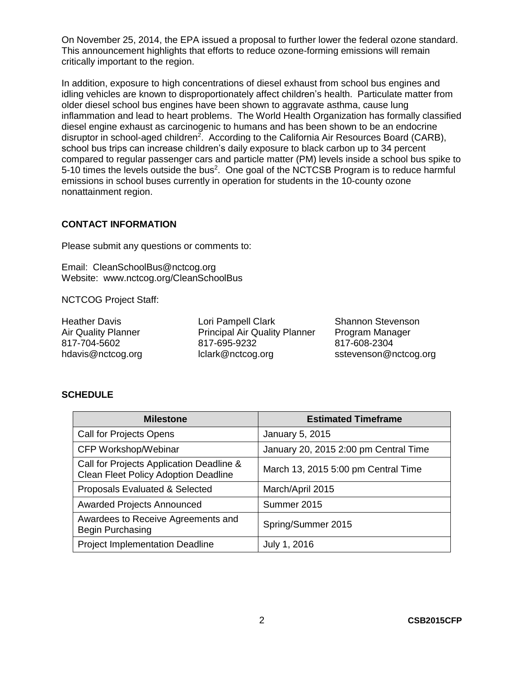On November 25, 2014, the EPA issued a proposal to further lower the federal ozone standard. This announcement highlights that efforts to reduce ozone-forming emissions will remain critically important to the region.

In addition, exposure to high concentrations of diesel exhaust from school bus engines and idling vehicles are known to disproportionately affect children's health. Particulate matter from older diesel school bus engines have been shown to aggravate asthma, cause lung inflammation and lead to heart problems. The World Health Organization has formally classified diesel engine exhaust as carcinogenic to humans and has been shown to be an endocrine disruptor in school-aged children<sup>2</sup>. According to the California Air Resources Board (CARB), school bus trips can increase children's daily exposure to black carbon up to 34 percent compared to regular passenger cars and particle matter (PM) levels inside a school bus spike to 5-10 times the levels outside the bus<sup>2</sup>. One goal of the NCTCSB Program is to reduce harmful emissions in school buses currently in operation for students in the 10-county ozone nonattainment region.

#### <span id="page-3-0"></span>**CONTACT INFORMATION**

Please submit any questions or comments to:

Email: [CleanSchoolBus@nctcog.org](mailto:CleanSchoolBus@nctcog.org) Website: [www.nctcog.org/CleanSchoolBus](http://www.nctcog.org/CleanSchoolBus)

NCTCOG Project Staff:

Heather Davis Air Quality Planner 817-704-5602 hdavis@nctcog.org

Lori Pampell Clark Principal Air Quality Planner 817-695-9232 lclark@nctcog.org

Shannon Stevenson Program Manager 817-608-2304 sstevenson@nctcog.org

#### <span id="page-3-1"></span>**SCHEDULE**

| <b>Milestone</b>                                                                        | <b>Estimated Timeframe</b>            |
|-----------------------------------------------------------------------------------------|---------------------------------------|
| <b>Call for Projects Opens</b>                                                          | January 5, 2015                       |
| CFP Workshop/Webinar                                                                    | January 20, 2015 2:00 pm Central Time |
| Call for Projects Application Deadline &<br><b>Clean Fleet Policy Adoption Deadline</b> | March 13, 2015 5:00 pm Central Time   |
| Proposals Evaluated & Selected                                                          | March/April 2015                      |
| <b>Awarded Projects Announced</b>                                                       | Summer 2015                           |
| Awardees to Receive Agreements and<br>Begin Purchasing                                  | Spring/Summer 2015                    |
| <b>Project Implementation Deadline</b>                                                  | July 1, 2016                          |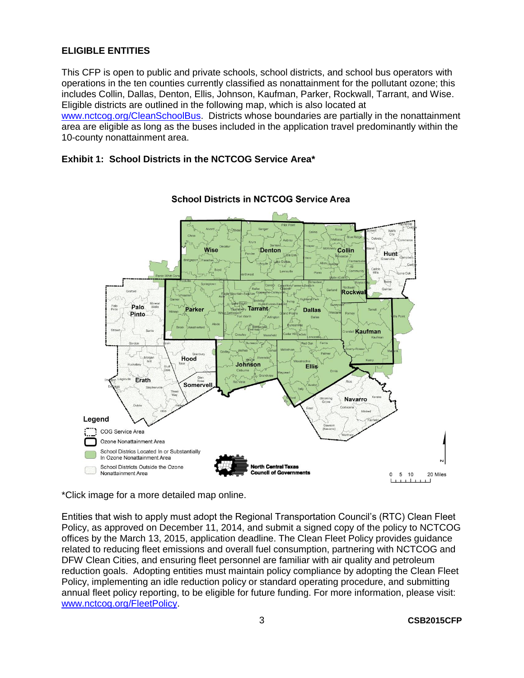### <span id="page-4-0"></span>**ELIGIBLE ENTITIES**

This CFP is open to public and private schools, school districts, and school bus operators with operations in the ten counties currently classified as nonattainment for the pollutant ozone; this includes Collin, Dallas, Denton, Ellis, Johnson, Kaufman, Parker, Rockwall, Tarrant, and Wise. Eligible districts are outlined in the following map, which is also located at

[www.nctcog.org/CleanSchoolBus.](http://www.nctcog.org/CleanSchoolBus) Districts whose boundaries are partially in the nonattainment area are eligible as long as the buses included in the application travel predominantly within the 10-county nonattainment area.

#### **Exhibit 1: School Districts in the NCTCOG Service Area\***



**School Districts in NCTCOG Service Area** 

\*Click image for a more detailed map online.

Entities that wish to apply must adopt the Regional Transportation Council's (RTC) Clean Fleet Policy, as approved on December 11, 2014, and submit a signed copy of the policy to NCTCOG offices by the March 13, 2015, application deadline. The Clean Fleet Policy provides guidance related to reducing fleet emissions and overall fuel consumption, partnering with NCTCOG and DFW Clean Cities, and ensuring fleet personnel are familiar with air quality and petroleum reduction goals. Adopting entities must maintain policy compliance by adopting the Clean Fleet Policy, implementing an idle reduction policy or standard operating procedure, and submitting annual fleet policy reporting, to be eligible for future funding. For more information, please visit: [www.nctcog.org/FleetPolicy.](http://www.nctcog.org/FleetPolicy)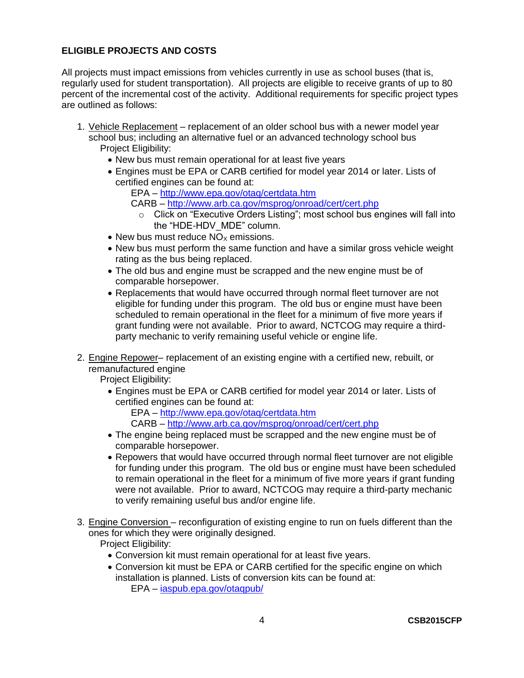### <span id="page-5-0"></span>**ELIGIBLE PROJECTS AND COSTS**

All projects must impact emissions from vehicles currently in use as school buses (that is, regularly used for student transportation). All projects are eligible to receive grants of up to 80 percent of the incremental cost of the activity. Additional requirements for specific project types are outlined as follows:

- 1. Vehicle Replacement replacement of an older school bus with a newer model year school bus; including an alternative fuel or an advanced technology school bus Project Eligibility:
	- New bus must remain operational for at least five years
	- Engines must be EPA or CARB certified for model year 2014 or later. Lists of certified engines can be found at:
		- EPA <http://www.epa.gov/otaq/certdata.htm>
		- CARB <http://www.arb.ca.gov/msprog/onroad/cert/cert.php>
			- o Click on "Executive Orders Listing"; most school bus engines will fall into the "HDE-HDV\_MDE" column.
	- $\bullet$  New bus must reduce NO<sub>x</sub> emissions.
	- New bus must perform the same function and have a similar gross vehicle weight rating as the bus being replaced.
	- The old bus and engine must be scrapped and the new engine must be of comparable horsepower.
	- Replacements that would have occurred through normal fleet turnover are not eligible for funding under this program. The old bus or engine must have been scheduled to remain operational in the fleet for a minimum of five more years if grant funding were not available. Prior to award, NCTCOG may require a thirdparty mechanic to verify remaining useful vehicle or engine life.
- 2. Engine Repower– replacement of an existing engine with a certified new, rebuilt, or remanufactured engine

Project Eligibility:

- Engines must be EPA or CARB certified for model year 2014 or later. Lists of certified engines can be found at:
	- EPA <http://www.epa.gov/otaq/certdata.htm>
	- CARB <http://www.arb.ca.gov/msprog/onroad/cert/cert.php>
- The engine being replaced must be scrapped and the new engine must be of comparable horsepower.
- Repowers that would have occurred through normal fleet turnover are not eligible for funding under this program. The old bus or engine must have been scheduled to remain operational in the fleet for a minimum of five more years if grant funding were not available. Prior to award, NCTCOG may require a third-party mechanic to verify remaining useful bus and/or engine life.
- 3. Engine Conversion reconfiguration of existing engine to run on fuels different than the ones for which they were originally designed.
	- Project Eligibility:
		- Conversion kit must remain operational for at least five years.
		- Conversion kit must be EPA or CARB certified for the specific engine on which installation is planned. Lists of conversion kits can be found at: EPA – [iaspub.epa.gov/otaqpub/](http://iaspub.epa.gov/otaqpub/)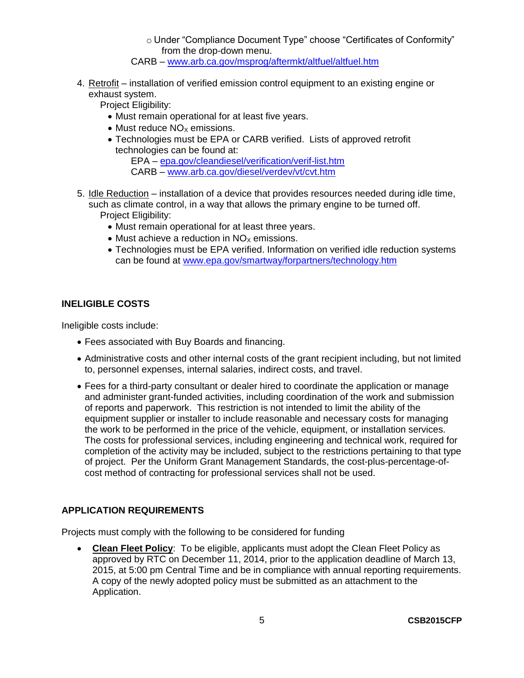o Under "Compliance Document Type" choose "Certificates of Conformity" from the drop-down menu.

CARB – [www.arb.ca.gov/msprog/aftermkt/altfuel/altfuel.htm](http://www.arb.ca.gov/msprog/aftermkt/altfuel/altfuel.htm)

4. Retrofit – installation of verified emission control equipment to an existing engine or exhaust system.

Project Eligibility:

- Must remain operational for at least five years.
- $\bullet$  Must reduce NO<sub>x</sub> emissions.
- Technologies must be EPA or CARB verified. Lists of approved retrofit technologies can be found at:

EPA – [epa.gov/cleandiesel/verification/verif-list.htm](http://epa.gov/cleandiesel/verification/verif-list.htm) CARB – [www.arb.ca.gov/diesel/verdev/vt/cvt.htm](http://www.arb.ca.gov/diesel/verdev/vt/cvt.htm)

- 5. Idle Reduction installation of a device that provides resources needed during idle time, such as climate control, in a way that allows the primary engine to be turned off. Project Eligibility:
	- Must remain operational for at least three years.
	- $\bullet$  Must achieve a reduction in NO<sub>x</sub> emissions.
	- Technologies must be EPA verified. Information on verified idle reduction systems can be found at [www.epa.gov/smartway/forpartners/technology.htm](http://www.epa.gov/smartway/forpartners/technology.htm)

### <span id="page-6-0"></span>**INELIGIBLE COSTS**

Ineligible costs include:

- Fees associated with Buy Boards and financing.
- Administrative costs and other internal costs of the grant recipient including, but not limited to, personnel expenses, internal salaries, indirect costs, and travel.
- Fees for a third-party consultant or dealer hired to coordinate the application or manage and administer grant-funded activities, including coordination of the work and submission of reports and paperwork. This restriction is not intended to limit the ability of the equipment supplier or installer to include reasonable and necessary costs for managing the work to be performed in the price of the vehicle, equipment, or installation services. The costs for professional services, including engineering and technical work, required for completion of the activity may be included, subject to the restrictions pertaining to that type of project. Per the Uniform Grant Management Standards, the cost-plus-percentage-ofcost method of contracting for professional services shall not be used.

### <span id="page-6-1"></span>**APPLICATION REQUIREMENTS**

Projects must comply with the following to be considered for funding

 **Clean Fleet Policy**: To be eligible, applicants must adopt the Clean Fleet Policy as approved by RTC on December 11, 2014, prior to the application deadline of March 13, 2015, at 5:00 pm Central Time and be in compliance with annual reporting requirements. A copy of the newly adopted policy must be submitted as an attachment to the Application.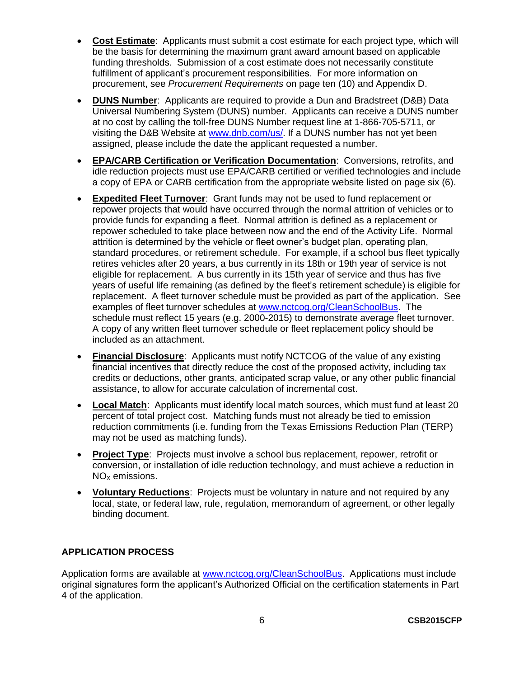- **Cost Estimate**: Applicants must submit a cost estimate for each project type, which will be the basis for determining the maximum grant award amount based on applicable funding thresholds. Submission of a cost estimate does not necessarily constitute fulfillment of applicant's procurement responsibilities. For more information on procurement, see *Procurement Requirements* on page ten (10) and Appendix D.
- **DUNS Number**: Applicants are required to provide a Dun and Bradstreet (D&B) Data Universal Numbering System (DUNS) number. Applicants can receive a DUNS number at no cost by calling the toll-free DUNS Number request line at 1-866-705-5711, or visiting the D&B Website at [www.dnb.com/us/.](http://www.dnb.com/us/) If a DUNS number has not yet been assigned, please include the date the applicant requested a number.
- **EPA/CARB Certification or Verification Documentation**: Conversions, retrofits, and idle reduction projects must use EPA/CARB certified or verified technologies and include a copy of EPA or CARB certification from the appropriate website listed on page six (6).
- **Expedited Fleet Turnover**: Grant funds may not be used to fund replacement or repower projects that would have occurred through the normal attrition of vehicles or to provide funds for expanding a fleet. Normal attrition is defined as a replacement or repower scheduled to take place between now and the end of the Activity Life. Normal attrition is determined by the vehicle or fleet owner's budget plan, operating plan, standard procedures, or retirement schedule. For example, if a school bus fleet typically retires vehicles after 20 years, a bus currently in its 18th or 19th year of service is not eligible for replacement. A bus currently in its 15th year of service and thus has five years of useful life remaining (as defined by the fleet's retirement schedule) is eligible for replacement. A fleet turnover schedule must be provided as part of the application. See examples of fleet turnover schedules at [www.nctcog.org/CleanSchoolBus.](http://www.nctcog.org/CleanSchoolBus) The schedule must reflect 15 years (e.g. 2000-2015) to demonstrate average fleet turnover. A copy of any written fleet turnover schedule or fleet replacement policy should be included as an attachment.
- **Financial Disclosure**: Applicants must notify NCTCOG of the value of any existing financial incentives that directly reduce the cost of the proposed activity, including tax credits or deductions, other grants, anticipated scrap value, or any other public financial assistance, to allow for accurate calculation of incremental cost.
- **Local Match**: Applicants must identify local match sources, which must fund at least 20 percent of total project cost. Matching funds must not already be tied to emission reduction commitments (i.e. funding from the Texas Emissions Reduction Plan (TERP) may not be used as matching funds).
- **Project Type**: Projects must involve a school bus replacement, repower, retrofit or conversion, or installation of idle reduction technology, and must achieve a reduction in  $NO<sub>x</sub>$  emissions.
- **Voluntary Reductions**: Projects must be voluntary in nature and not required by any local, state, or federal law, rule, regulation, memorandum of agreement, or other legally binding document.

### <span id="page-7-0"></span>**APPLICATION PROCESS**

Application forms are available at [www.nctcog.org/CleanSchoolBus.](http://www.nctcog.org/CleanSchoolBus) Applications must include original signatures form the applicant's Authorized Official on the certification statements in Part 4 of the application.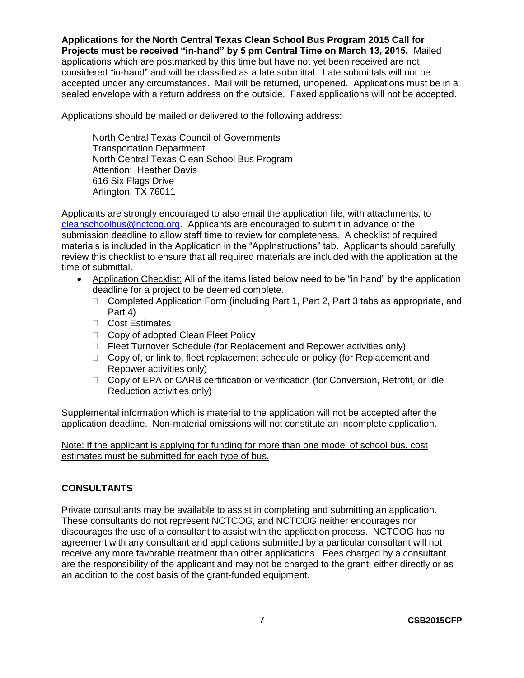**Applications for the North Central Texas Clean School Bus Program 2015 Call for Projects must be received "in-hand" by 5 pm Central Time on March 13, 2015.** Mailed applications which are postmarked by this time but have not yet been received are not considered "in-hand" and will be classified as a late submittal. Late submittals will not be accepted under any circumstances. Mail will be returned, unopened. Applications must be in a sealed envelope with a return address on the outside. Faxed applications will not be accepted.

Applications should be mailed or delivered to the following address:

North Central Texas Council of Governments Transportation Department North Central Texas Clean School Bus Program Attention: Heather Davis 616 Six Flags Drive Arlington, TX 76011

Applicants are strongly encouraged to also email the application file, with attachments, to [cleanschoolbus@nctcog.org.](mailto:cleanschoolbus@nctcog.org) Applicants are encouraged to submit in advance of the submission deadline to allow staff time to review for completeness. A checklist of required materials is included in the Application in the "AppInstructions" tab. Applicants should carefully review this checklist to ensure that all required materials are included with the application at the time of submittal.

- Application Checklist: All of the items listed below need to be "in hand" by the application deadline for a project to be deemed complete.
	- □ Completed Application Form (including Part 1, Part 2, Part 3 tabs as appropriate, and Part 4)
	- □ Cost Estimates
	- □ Copy of adopted Clean Fleet Policy
	- $\Box$  Fleet Turnover Schedule (for Replacement and Repower activities only)
	- □ Copy of, or link to, fleet replacement schedule or policy (for Replacement and Repower activities only)
	- □ Copy of EPA or CARB certification or verification (for Conversion, Retrofit, or Idle Reduction activities only)

Supplemental information which is material to the application will not be accepted after the application deadline. Non-material omissions will not constitute an incomplete application.

Note: If the applicant is applying for funding for more than one model of school bus, cost estimates must be submitted for each type of bus.

### <span id="page-8-0"></span>**CONSULTANTS**

Private consultants may be available to assist in completing and submitting an application. These consultants do not represent NCTCOG, and NCTCOG neither encourages nor discourages the use of a consultant to assist with the application process. NCTCOG has no agreement with any consultant and applications submitted by a particular consultant will not receive any more favorable treatment than other applications. Fees charged by a consultant are the responsibility of the applicant and may not be charged to the grant, either directly or as an addition to the cost basis of the grant-funded equipment.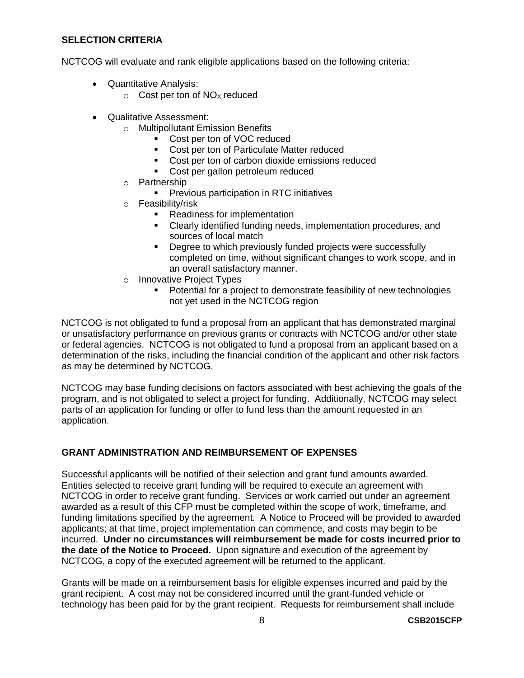#### <span id="page-9-0"></span>**SELECTION CRITERIA**

NCTCOG will evaluate and rank eligible applications based on the following criteria:

- Quantitative Analysis:
	- $\circ$  Cost per ton of NO<sub>x</sub> reduced
- Qualitative Assessment:
	- o Multipollutant Emission Benefits
		- Cost per ton of VOC reduced
		- **Cost per ton of Particulate Matter reduced**
		- Cost per ton of carbon dioxide emissions reduced
		- Cost per gallon petroleum reduced
	- o Partnership
		- **•** Previous participation in RTC initiatives
	- o Feasibility/risk
		- Readiness for implementation
		- Clearly identified funding needs, implementation procedures, and sources of local match
		- **•** Degree to which previously funded projects were successfully completed on time, without significant changes to work scope, and in an overall satisfactory manner.
	- o Innovative Project Types
		- **•** Potential for a project to demonstrate feasibility of new technologies not yet used in the NCTCOG region

NCTCOG is not obligated to fund a proposal from an applicant that has demonstrated marginal or unsatisfactory performance on previous grants or contracts with NCTCOG and/or other state or federal agencies. NCTCOG is not obligated to fund a proposal from an applicant based on a determination of the risks, including the financial condition of the applicant and other risk factors as may be determined by NCTCOG.

NCTCOG may base funding decisions on factors associated with best achieving the goals of the program, and is not obligated to select a project for funding. Additionally, NCTCOG may select parts of an application for funding or offer to fund less than the amount requested in an application.

### <span id="page-9-1"></span>**GRANT ADMINISTRATION AND REIMBURSEMENT OF EXPENSES**

Successful applicants will be notified of their selection and grant fund amounts awarded. Entities selected to receive grant funding will be required to execute an agreement with NCTCOG in order to receive grant funding. Services or work carried out under an agreement awarded as a result of this CFP must be completed within the scope of work, timeframe, and funding limitations specified by the agreement. A Notice to Proceed will be provided to awarded applicants; at that time, project implementation can commence, and costs may begin to be incurred. **Under no circumstances will reimbursement be made for costs incurred prior to the date of the Notice to Proceed.** Upon signature and execution of the agreement by NCTCOG, a copy of the executed agreement will be returned to the applicant.

Grants will be made on a reimbursement basis for eligible expenses incurred and paid by the grant recipient. A cost may not be considered incurred until the grant-funded vehicle or technology has been paid for by the grant recipient. Requests for reimbursement shall include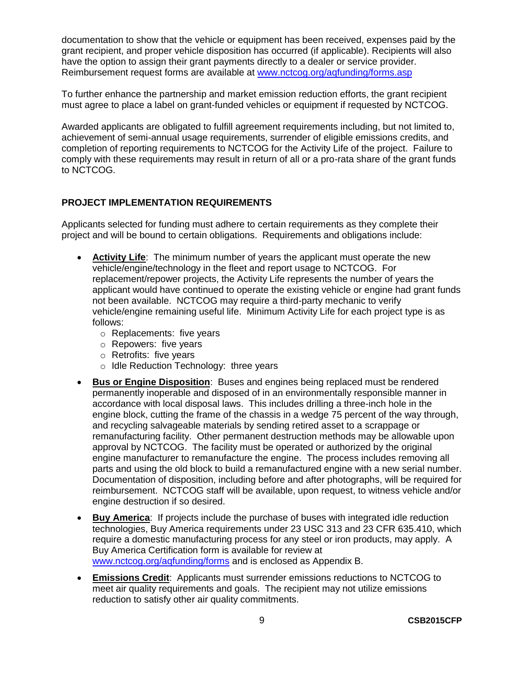documentation to show that the vehicle or equipment has been received, expenses paid by the grant recipient, and proper vehicle disposition has occurred (if applicable). Recipients will also have the option to assign their grant payments directly to a dealer or service provider. Reimbursement request forms are available at [www.nctcog.org/aqfunding/forms.asp](http://www.nctcog.org/trans/air/vehicles/investments/funding/forms.asp)

To further enhance the partnership and market emission reduction efforts, the grant recipient must agree to place a label on grant-funded vehicles or equipment if requested by NCTCOG.

Awarded applicants are obligated to fulfill agreement requirements including, but not limited to, achievement of semi-annual usage requirements, surrender of eligible emissions credits, and completion of reporting requirements to NCTCOG for the Activity Life of the project. Failure to comply with these requirements may result in return of all or a pro-rata share of the grant funds to NCTCOG.

### <span id="page-10-0"></span>**PROJECT IMPLEMENTATION REQUIREMENTS**

Applicants selected for funding must adhere to certain requirements as they complete their project and will be bound to certain obligations. Requirements and obligations include:

- **Activity Life**: The minimum number of years the applicant must operate the new vehicle/engine/technology in the fleet and report usage to NCTCOG. For replacement/repower projects, the Activity Life represents the number of years the applicant would have continued to operate the existing vehicle or engine had grant funds not been available. NCTCOG may require a third-party mechanic to verify vehicle/engine remaining useful life. Minimum Activity Life for each project type is as follows:
	- o Replacements: five years
	- o Repowers: five years
	- o Retrofits: five years
	- o Idle Reduction Technology: three years
- **Bus or Engine Disposition**: Buses and engines being replaced must be rendered permanently inoperable and disposed of in an environmentally responsible manner in accordance with local disposal laws. This includes drilling a three-inch hole in the engine block, cutting the frame of the chassis in a wedge 75 percent of the way through, and recycling salvageable materials by sending retired asset to a scrappage or remanufacturing facility. Other permanent destruction methods may be allowable upon approval by NCTCOG. The facility must be operated or authorized by the original engine manufacturer to remanufacture the engine. The process includes removing all parts and using the old block to build a remanufactured engine with a new serial number. Documentation of disposition, including before and after photographs, will be required for reimbursement. NCTCOG staff will be available, upon request, to witness vehicle and/or engine destruction if so desired.
- **Buy America**: If projects include the purchase of buses with integrated idle reduction technologies, Buy America requirements under 23 USC 313 and 23 CFR 635.410, which require a domestic manufacturing process for any steel or iron products, may apply. A Buy America Certification form is available for review at [www.nctcog.org/aqfunding/forms](http://www.nctcog.org/aqfunding/forms) and is enclosed as Appendix B.
- **Emissions Credit**: Applicants must surrender emissions reductions to NCTCOG to meet air quality requirements and goals. The recipient may not utilize emissions reduction to satisfy other air quality commitments.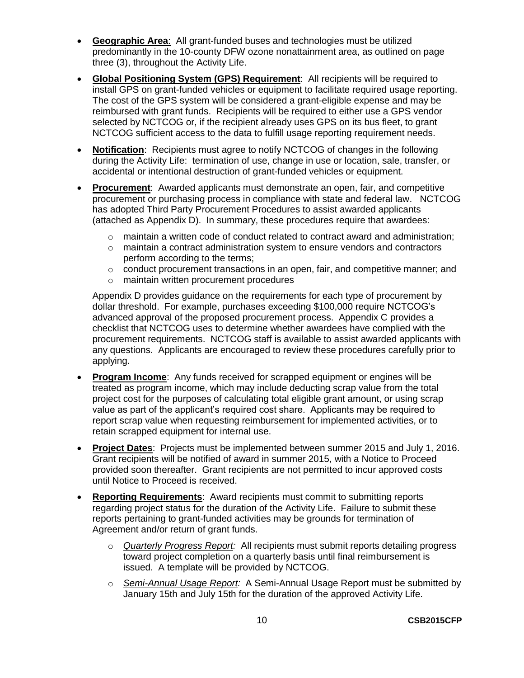- **Geographic Area**: All grant-funded buses and technologies must be utilized predominantly in the 10-county DFW ozone nonattainment area, as outlined on page three (3), throughout the Activity Life.
- **Global Positioning System (GPS) Requirement**: All recipients will be required to install GPS on grant-funded vehicles or equipment to facilitate required usage reporting. The cost of the GPS system will be considered a grant-eligible expense and may be reimbursed with grant funds. Recipients will be required to either use a GPS vendor selected by NCTCOG or, if the recipient already uses GPS on its bus fleet, to grant NCTCOG sufficient access to the data to fulfill usage reporting requirement needs.
- **Notification**: Recipients must agree to notify NCTCOG of changes in the following during the Activity Life: termination of use, change in use or location, sale, transfer, or accidental or intentional destruction of grant-funded vehicles or equipment.
- **Procurement**: Awarded applicants must demonstrate an open, fair, and competitive procurement or purchasing process in compliance with state and federal law. NCTCOG has adopted Third Party Procurement Procedures to assist awarded applicants (attached as Appendix D). In summary, these procedures require that awardees:
	- o maintain a written code of conduct related to contract award and administration;
	- $\circ$  maintain a contract administration system to ensure vendors and contractors perform according to the terms;
	- o conduct procurement transactions in an open, fair, and competitive manner; and
	- o maintain written procurement procedures

Appendix D provides guidance on the requirements for each type of procurement by dollar threshold. For example, purchases exceeding \$100,000 require NCTCOG's advanced approval of the proposed procurement process. Appendix C provides a checklist that NCTCOG uses to determine whether awardees have complied with the procurement requirements. NCTCOG staff is available to assist awarded applicants with any questions. Applicants are encouraged to review these procedures carefully prior to applying.

- **Program Income**: Any funds received for scrapped equipment or engines will be treated as program income, which may include deducting scrap value from the total project cost for the purposes of calculating total eligible grant amount, or using scrap value as part of the applicant's required cost share. Applicants may be required to report scrap value when requesting reimbursement for implemented activities, or to retain scrapped equipment for internal use.
- **Project Dates**: Projects must be implemented between summer 2015 and July 1, 2016. Grant recipients will be notified of award in summer 2015, with a Notice to Proceed provided soon thereafter. Grant recipients are not permitted to incur approved costs until Notice to Proceed is received.
- **Reporting Requirements**: Award recipients must commit to submitting reports regarding project status for the duration of the Activity Life. Failure to submit these reports pertaining to grant-funded activities may be grounds for termination of Agreement and/or return of grant funds.
	- o *Quarterly Progress Report:* All recipients must submit reports detailing progress toward project completion on a quarterly basis until final reimbursement is issued. A template will be provided by NCTCOG.
	- o *Semi-Annual Usage Report:* A Semi-Annual Usage Report must be submitted by January 15th and July 15th for the duration of the approved Activity Life.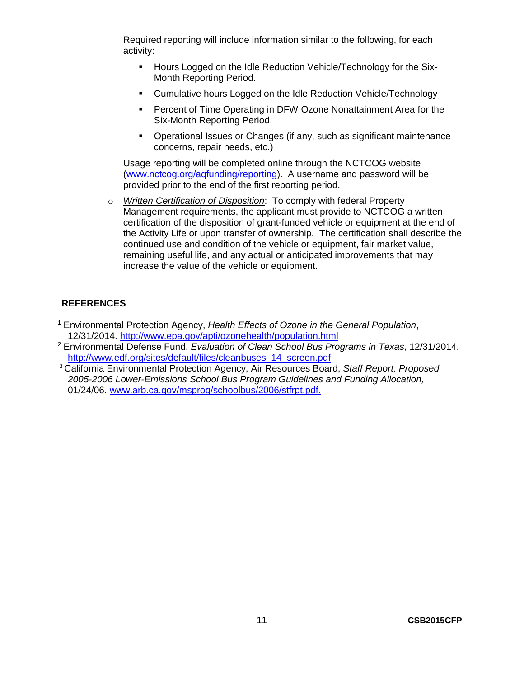Required reporting will include information similar to the following, for each activity:

- **Hours Logged on the Idle Reduction Vehicle/Technology for the Six-**Month Reporting Period.
- Cumulative hours Logged on the Idle Reduction Vehicle/Technology
- **Percent of Time Operating in DFW Ozone Nonattainment Area for the** Six-Month Reporting Period.
- Operational Issues or Changes (if any, such as significant maintenance concerns, repair needs, etc.)

Usage reporting will be completed online through the NCTCOG website [\(www.nctcog.org/aqfunding/reporting\)](http://www.nctcog.org/trans/air/programs/reporting/index.asp). A username and password will be provided prior to the end of the first reporting period.

o *Written Certification of Disposition*: To comply with federal Property Management requirements, the applicant must provide to NCTCOG a written certification of the disposition of grant-funded vehicle or equipment at the end of the Activity Life or upon transfer of ownership. The certification shall describe the continued use and condition of the vehicle or equipment, fair market value, remaining useful life, and any actual or anticipated improvements that may increase the value of the vehicle or equipment.

### <span id="page-12-0"></span>**REFERENCES**

- <sup>1</sup> Environmental Protection Agency, *Health Effects of Ozone in the General Population*, 12/31/2014. <http://www.epa.gov/apti/ozonehealth/population.html>
- <sup>2</sup> Environmental Defense Fund, *Evaluation of Clean School Bus Programs in Texas*, 12/31/2014. [http://www.edf.org/sites/default/files/cleanbuses\\_14\\_screen.pdf](http://www.edf.org/sites/default/files/cleanbuses_14_screen.pdf)
- <sup>3</sup> California Environmental Protection Agency, Air Resources Board, *Staff Report: Proposed 2005-2006 Lower-Emissions School Bus Program Guidelines and Funding Allocation,* 01/24/06. [www.arb.ca.gov/msprog/schoolbus/2006/stfrpt.pdf.](file:///C:/Users/MGadlin/Desktop/www.arb.ca.gov/msprog/schoolbus/2006/stfrpt.pdf)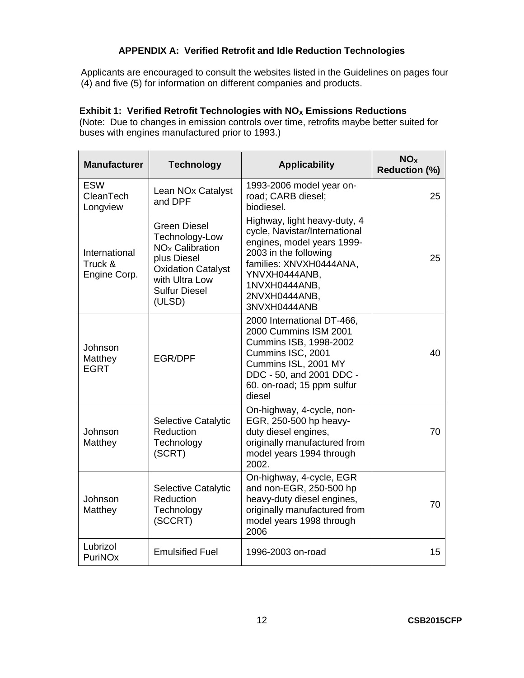### **APPENDIX A: Verified Retrofit and Idle Reduction Technologies**

<span id="page-13-0"></span>Applicants are encouraged to consult the websites listed in the Guidelines on pages four (4) and five (5) for information on different companies and products.

# **Exhibit 1: Verified Retrofit Technologies with NO<sub>X</sub> Emissions Reductions**

(Note: Due to changes in emission controls over time, retrofits maybe better suited for buses with engines manufactured prior to 1993.)

| <b>Manufacturer</b>                      | <b>Technology</b><br><b>Applicability</b>                                                                                                                            |                                                                                                                                                                                                                    | NO <sub>x</sub><br><b>Reduction (%)</b> |  |
|------------------------------------------|----------------------------------------------------------------------------------------------------------------------------------------------------------------------|--------------------------------------------------------------------------------------------------------------------------------------------------------------------------------------------------------------------|-----------------------------------------|--|
| <b>ESW</b><br>CleanTech<br>Longview      | Lean NOx Catalyst<br>and DPF                                                                                                                                         | 1993-2006 model year on-<br>road; CARB diesel;<br>biodiesel.                                                                                                                                                       | 25                                      |  |
| International<br>Truck &<br>Engine Corp. | <b>Green Diesel</b><br>Technology-Low<br>NO <sub>x</sub> Calibration<br>plus Diesel<br><b>Oxidation Catalyst</b><br>with Ultra Low<br><b>Sulfur Diesel</b><br>(ULSD) | Highway, light heavy-duty, 4<br>cycle, Navistar/International<br>engines, model years 1999-<br>2003 in the following<br>families: XNVXH0444ANA,<br>YNVXH0444ANB,<br>1NVXH0444ANB,<br>2NVXH0444ANB,<br>3NVXH0444ANB | 25                                      |  |
| Johnson<br>Matthey<br><b>EGRT</b>        | <b>EGR/DPF</b>                                                                                                                                                       | 2000 International DT-466,<br>2000 Cummins ISM 2001<br>Cummins ISB, 1998-2002<br>Cummins ISC, 2001<br>Cummins ISL, 2001 MY<br>DDC - 50, and 2001 DDC -<br>60. on-road; 15 ppm sulfur<br>diesel                     | 40                                      |  |
| Johnson<br>Matthey                       | Selective Catalytic<br>Reduction<br>Technology<br>(SCRT)                                                                                                             | On-highway, 4-cycle, non-<br>EGR, 250-500 hp heavy-<br>duty diesel engines,<br>originally manufactured from<br>model years 1994 through<br>2002.                                                                   | 70                                      |  |
| Johnson<br>Matthey                       | Selective Catalytic<br>Reduction<br>Technology<br>(SCCRT)                                                                                                            | On-highway, 4-cycle, EGR<br>and non-EGR, 250-500 hp<br>heavy-duty diesel engines,<br>originally manufactured from<br>model years 1998 through<br>2006                                                              | 70                                      |  |
| Lubrizol<br>PuriNOx                      | <b>Emulsified Fuel</b>                                                                                                                                               | 1996-2003 on-road                                                                                                                                                                                                  | 15                                      |  |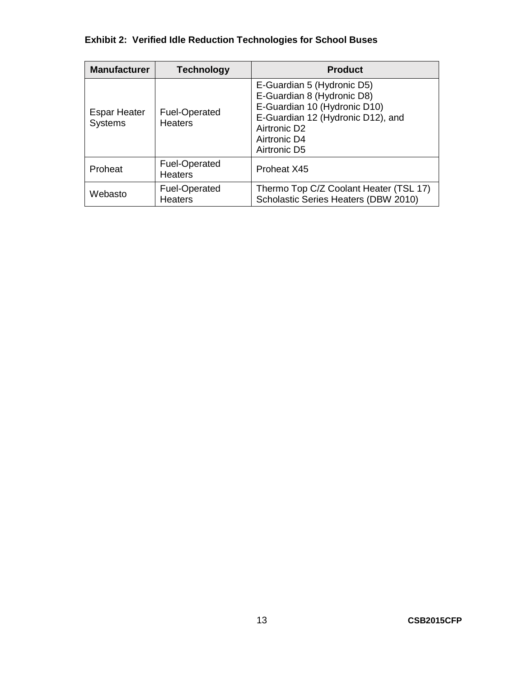# **Exhibit 2: Verified Idle Reduction Technologies for School Buses**

| <b>Manufacturer</b>                   | <b>Technology</b>               | <b>Product</b>                                                                                                                                                                            |
|---------------------------------------|---------------------------------|-------------------------------------------------------------------------------------------------------------------------------------------------------------------------------------------|
| <b>Espar Heater</b><br><b>Systems</b> | Fuel-Operated<br><b>Heaters</b> | E-Guardian 5 (Hydronic D5)<br>E-Guardian 8 (Hydronic D8)<br>E-Guardian 10 (Hydronic D10)<br>E-Guardian 12 (Hydronic D12), and<br>Airtronic D <sub>2</sub><br>Airtronic D4<br>Airtronic D5 |
| Proheat                               | Fuel-Operated<br><b>Heaters</b> | Proheat X45                                                                                                                                                                               |
| Webasto                               | Fuel-Operated<br><b>Heaters</b> | Thermo Top C/Z Coolant Heater (TSL 17)<br>Scholastic Series Heaters (DBW 2010)                                                                                                            |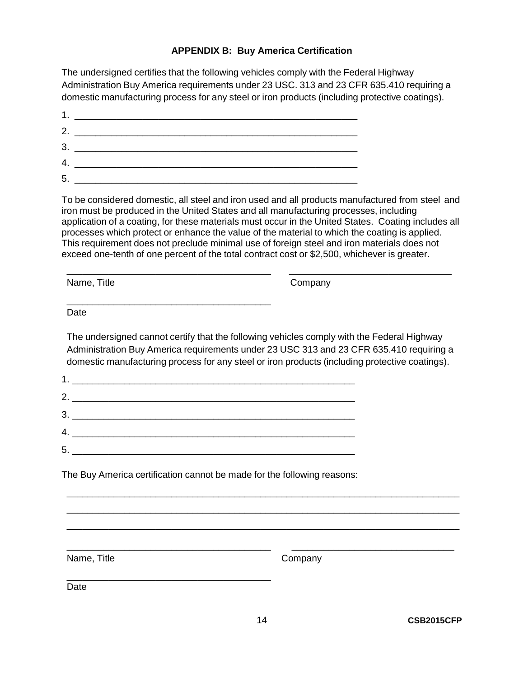### **APPENDIX B: Buy America Certification**

<span id="page-15-0"></span>The undersigned certifies that the following vehicles comply with the Federal Highway Administration Buy America requirements under 23 USC. 313 and 23 CFR 635.410 requiring a domestic manufacturing process for any steel or iron products (including protective coatings).

| 2. |  |
|----|--|
| 3  |  |
|    |  |
| 5. |  |

To be considered domestic, all steel and iron used and all products manufactured from steel and iron must be produced in the United States and all manufacturing processes, including application of a coating, for these materials must occur in the United States. Coating includes all processes which protect or enhance the value of the material to which the coating is applied. This requirement does not preclude minimal use of foreign steel and iron materials does not exceed one-tenth of one percent of the total contract cost or \$2,500, whichever is greater.

\_\_\_\_\_\_\_\_\_\_\_\_\_\_\_\_\_\_\_\_\_\_\_\_\_\_\_\_\_\_\_\_\_\_\_\_\_\_\_ \_\_\_\_\_\_\_\_\_\_\_\_\_\_\_\_\_\_\_\_\_\_\_\_\_\_\_\_\_\_\_

Name, Title **Company** 

Date

The undersigned cannot certify that the following vehicles comply with the Federal Highway Administration Buy America requirements under 23 USC 313 and 23 CFR 635.410 requiring a domestic manufacturing process for any steel or iron products (including protective coatings).

| 2. $\qquad \qquad$                                                                                                                                                                                                                                                                                                                                                                                                                                                                                                         |
|----------------------------------------------------------------------------------------------------------------------------------------------------------------------------------------------------------------------------------------------------------------------------------------------------------------------------------------------------------------------------------------------------------------------------------------------------------------------------------------------------------------------------|
| $\begin{array}{c} \n3. \quad \textcolor{blue}{\textbf{2.2}} \quad \textcolor{blue}{\textbf{3.3}} \quad \textcolor{blue}{\textbf{4.4}} \quad \textcolor{blue}{\textbf{5.5}} \quad \textcolor{blue}{\textbf{6.6}} \quad \textcolor{blue}{\textbf{7.6}} \quad \textcolor{blue}{\textbf{8.6}} \quad \textcolor{blue}{\textbf{1.6}} \quad \textcolor{blue}{\textbf{1.6}} \quad \textcolor{blue}{\textbf{1.6}} \quad \textcolor{blue}{\textbf{1.6}} \quad \textcolor{blue}{\textbf{1.6}} \quad \textcolor{blue}{\textbf{1.6}} \$ |
|                                                                                                                                                                                                                                                                                                                                                                                                                                                                                                                            |
|                                                                                                                                                                                                                                                                                                                                                                                                                                                                                                                            |

\_\_\_\_\_\_\_\_\_\_\_\_\_\_\_\_\_\_\_\_\_\_\_\_\_\_\_\_\_\_\_\_\_\_\_\_\_\_\_

The Buy America certification cannot be made for the following reasons:

Name, Title **Company** 

\_\_\_\_\_\_\_\_\_\_\_\_\_\_\_\_\_\_\_\_\_\_\_\_\_\_\_\_\_\_\_\_\_\_\_\_\_\_\_ Date

\_\_\_\_\_\_\_\_\_\_\_\_\_\_\_\_\_\_\_\_\_\_\_\_\_\_\_\_\_\_\_\_\_\_\_\_\_\_\_\_\_\_\_\_\_\_\_\_\_\_\_\_\_\_\_\_\_\_\_\_\_\_\_\_\_\_\_\_\_\_\_\_\_\_\_ \_\_\_\_\_\_\_\_\_\_\_\_\_\_\_\_\_\_\_\_\_\_\_\_\_\_\_\_\_\_\_\_\_\_\_\_\_\_\_\_\_\_\_\_\_\_\_\_\_\_\_\_\_\_\_\_\_\_\_\_\_\_\_\_\_\_\_\_\_\_\_\_\_\_\_ \_\_\_\_\_\_\_\_\_\_\_\_\_\_\_\_\_\_\_\_\_\_\_\_\_\_\_\_\_\_\_\_\_\_\_\_\_\_\_\_\_\_\_\_\_\_\_\_\_\_\_\_\_\_\_\_\_\_\_\_\_\_\_\_\_\_\_\_\_\_\_\_\_\_\_

\_\_\_\_\_\_\_\_\_\_\_\_\_\_\_\_\_\_\_\_\_\_\_\_\_\_\_\_\_\_\_\_\_\_\_\_\_\_\_ \_\_\_\_\_\_\_\_\_\_\_\_\_\_\_\_\_\_\_\_\_\_\_\_\_\_\_\_\_\_\_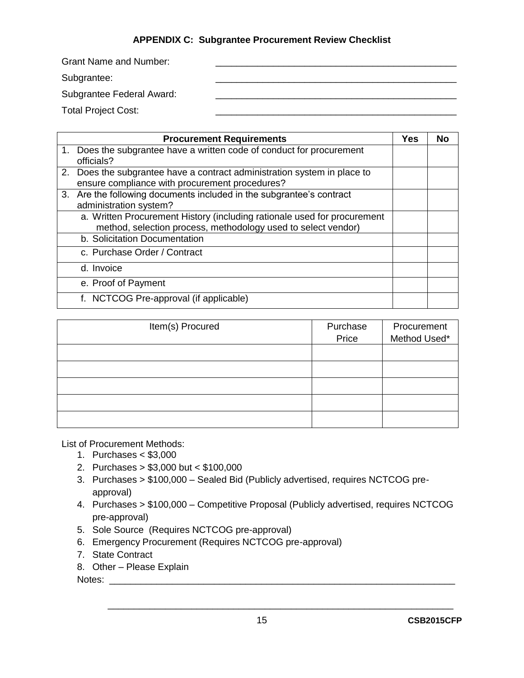### **APPENDIX C: Subgrantee Procurement Review Checklist**

<span id="page-16-0"></span>Grant Name and Number:

Subgrantee:

Subgrantee Federal Award:

Total Project Cost:

| <b>Procurement Requirements</b>                                          | <b>Yes</b> | No |
|--------------------------------------------------------------------------|------------|----|
| 1. Does the subgrantee have a written code of conduct for procurement    |            |    |
| officials?                                                               |            |    |
| 2. Does the subgrantee have a contract administration system in place to |            |    |
| ensure compliance with procurement procedures?                           |            |    |
| 3. Are the following documents included in the subgrantee's contract     |            |    |
| administration system?                                                   |            |    |
| a. Written Procurement History (including rationale used for procurement |            |    |
| method, selection process, methodology used to select vendor)            |            |    |
| b. Solicitation Documentation                                            |            |    |
| c. Purchase Order / Contract                                             |            |    |
| d. Invoice                                                               |            |    |
| e. Proof of Payment                                                      |            |    |
| f. NCTCOG Pre-approval (if applicable)                                   |            |    |

| Item(s) Procured | Purchase | Procurement  |
|------------------|----------|--------------|
|                  | Price    | Method Used* |
|                  |          |              |
|                  |          |              |
|                  |          |              |
|                  |          |              |
|                  |          |              |

List of Procurement Methods:

- 1. Purchases < \$3,000
- 2. Purchases > \$3,000 but < \$100,000
- 3. Purchases > \$100,000 Sealed Bid (Publicly advertised, requires NCTCOG preapproval)
- 4. Purchases > \$100,000 Competitive Proposal (Publicly advertised, requires NCTCOG pre-approval)
- 5. Sole Source (Requires NCTCOG pre-approval)
- 6. Emergency Procurement (Requires NCTCOG pre-approval)
- 7. State Contract
- 8. Other Please Explain

Notes: \_\_\_\_\_\_\_\_\_\_\_\_\_\_\_\_\_\_\_\_\_\_\_\_\_\_\_\_\_\_\_\_\_\_\_\_\_\_\_\_\_\_\_\_\_\_\_\_\_\_\_\_\_\_\_\_\_\_\_\_\_\_\_\_\_\_

\_\_\_\_\_\_\_\_\_\_\_\_\_\_\_\_\_\_\_\_\_\_\_\_\_\_\_\_\_\_\_\_\_\_\_\_\_\_\_\_\_\_\_\_\_\_\_\_\_\_\_\_\_\_\_\_\_\_\_\_\_\_\_\_\_\_